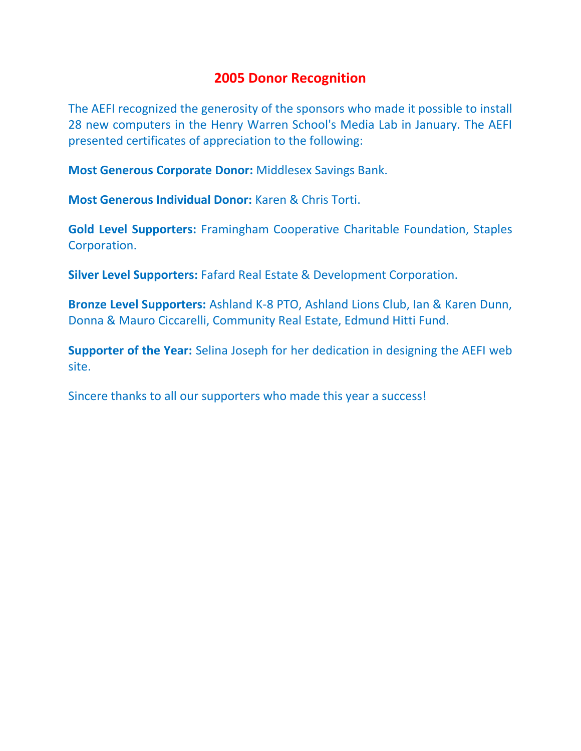## **2005 Donor Recognition**

The AEFI recognized the generosity of the sponsors who made it possible to install 28 new computers in the Henry Warren School's Media Lab in January. The AEFI presented certificates of appreciation to the following:

**Most Generous Corporate Donor:** Middlesex Savings Bank.

**Most Generous Individual Donor:** Karen & Chris Torti.

**Gold Level Supporters:** Framingham Cooperative Charitable Foundation, Staples Corporation.

**Silver Level Supporters:** Fafard Real Estate & Development Corporation.

**Bronze Level Supporters:** Ashland K-8 PTO, Ashland Lions Club, Ian & Karen Dunn, Donna & Mauro Ciccarelli, Community Real Estate, Edmund Hitti Fund.

**Supporter of the Year:** Selina Joseph for her dedication in designing the AEFI web site.

Sincere thanks to all our supporters who made this year a success!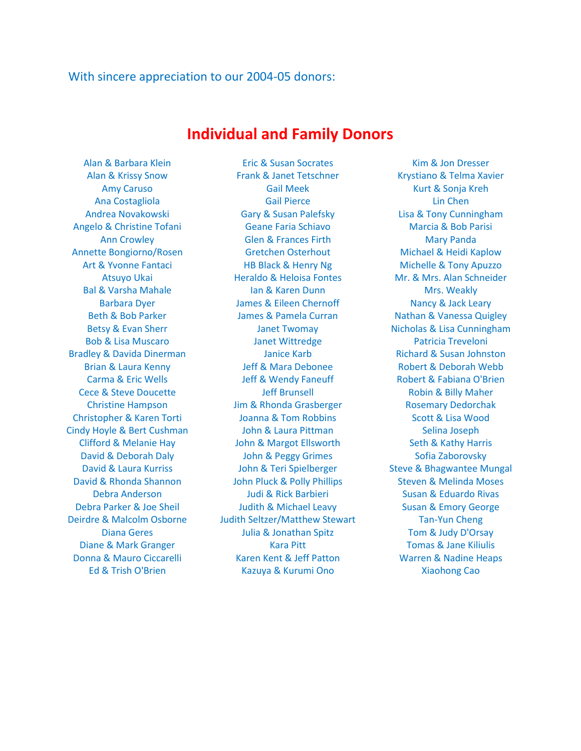## With sincere appreciation to our 2004-05 donors:

## **Individual and Family Donors**

Alan & Barbara Klein Eric & Susan Socrates Kim & Jon Dresser Alan & Krissy Snow Frank & Janet Tetschner Krystiano & Telma Xavier Amy Caruso Carlos Cail Meek Care Kurt & Sonja Kreh Ana Costagliola Costagliola Costagliola Costagliola Costagliola Costagliola Chen Andrea Novakowski Gary & Susan Palefsky Lisa & Tony Cunningham Angelo & Christine Tofani **Geane Faria Schiavo** Marcia & Bob Parisi Ann Crowley **Glen & Frances Firth** Mary Panda Annette Bongiorno/Rosen Gretchen Osterhout Michael & Heidi Kaplow Art & Yvonne Fantaci **HB Black & Henry Ng Michelle & Tony Apuzzo** Atsuyo Ukai **Heraldo & Heloisa Fontes** Mr. & Mrs. Alan Schneider Bal & Varsha Mahale **Ian & Karen Dunn** Mrs. Weakly Barbara Dyer **State Communist Communist Communist Communist Communist Communist Communist Communist Communist Communist Communist Communist Communist Communist Communist Communist Communist Communist Communist Communist Co** Beth & Bob Parker James & Pamela Curran Nathan & Vanessa Quigley Betsy & Evan Sherr **Sherr** Janet Twomay **Nicholas & Lisa Cunningham** Bob & Lisa Muscaro Janet Wittredge Patricia Treveloni Bradley & Davida Dinerman Janice Karb Richard & Susan Johnston Brian & Laura Kenny Jeff & Mara Debonee Robert & Deborah Webb Carma & Eric Wells Jeff & Wendy Faneuff Robert & Fabiana O'Brien Cece & Steve Doucette The Jeff Brunsell Cece & Steve Doucette Jeff Brunsell And Robin & Billy Maher Christine Hampson Jim & Rhonda Grasberger Rosemary Dedorchak Christopher & Karen Torti **Scott & Lisa Wood** Joanna & Tom Robbins Scott & Lisa Wood Cindy Hoyle & Bert Cushman John & Laura Pittman Selina Joseph Clifford & Melanie Hay John & Margot Ellsworth Seth & Kathy Harris David & Deborah Daly **Sofia Zaborovsky** John & Peggy Grimes Sofia Zaborovsky David & Laura Kurriss **Steve & Steve & Bhagwantee Mungal** Cavid & Laura Kurriss **Steve & Bhagwantee Mungal** David & Rhonda Shannon John Pluck & Polly Phillips Steven & Melinda Moses Debra Anderson The Sudi & Rick Barbieri Susan & Eduardo Rivas Debra Parker & Joe Sheil **State Additive State In America** Correspondent Susan & Emory George Deirdre & Malcolm Osborne Judith Seltzer/Matthew Stewart Tan-Yun Cheng Diana Geres Julia & Jonathan Spitz Tom & Judy D'Orsay Diane & Mark Granger Kara Pitt Tomas & Jane Kiliulis Donna & Mauro Ciccarelli Karen Kent & Jeff Patton Warren & Nadine Heaps Ed & Trish O'Brien **Kazuya & Kurumi Ono** Xiaohong Cao